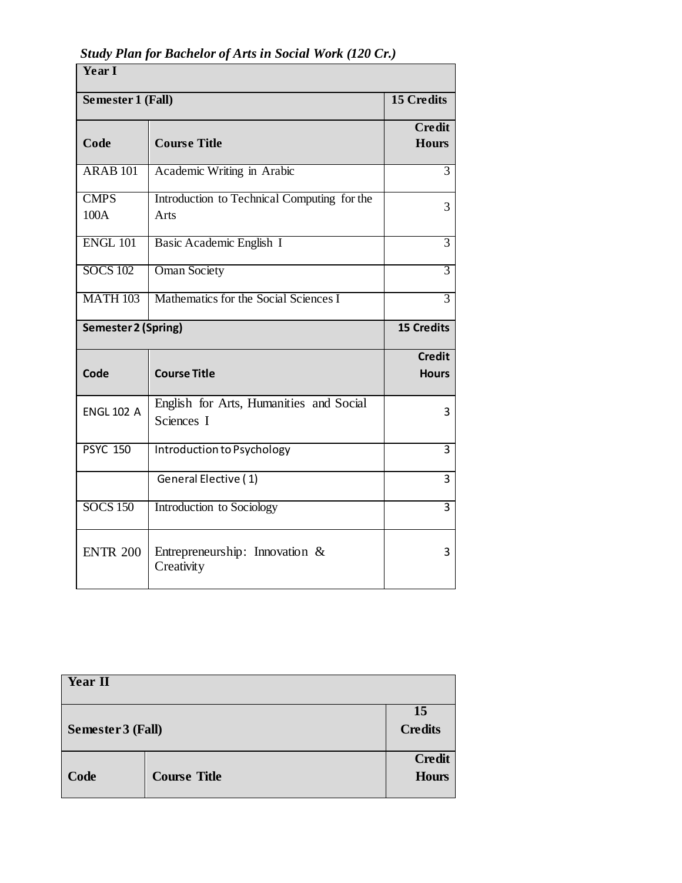| <b>Year I</b>              |                                                       |                               |  |
|----------------------------|-------------------------------------------------------|-------------------------------|--|
| Semester 1 (Fall)          | 15 Credits                                            |                               |  |
| Code                       | <b>Course Title</b>                                   | Credit<br><b>Hours</b>        |  |
| <b>ARAB 101</b>            | Academic Writing in Arabic                            | $\overline{3}$                |  |
| <b>CMPS</b><br>100A        | Introduction to Technical Computing for the<br>Arts   | 3                             |  |
| <b>ENGL 101</b>            | Basic Academic English I                              | $\overline{3}$                |  |
| <b>SOCS 102</b>            | <b>Oman Society</b>                                   | 3                             |  |
| <b>MATH 103</b>            | Mathematics for the Social Sciences I                 | $\overline{3}$                |  |
| <b>Semester 2 (Spring)</b> | <b>15 Credits</b>                                     |                               |  |
| Code                       | <b>Course Title</b>                                   | <b>Credit</b><br><b>Hours</b> |  |
| <b>ENGL 102 A</b>          | English for Arts, Humanities and Social<br>Sciences I | 3                             |  |
| <b>PSYC 150</b>            | Introduction to Psychology                            | 3                             |  |
|                            | General Elective (1)                                  | 3                             |  |
| <b>SOCS 150</b>            | Introduction to Sociology                             | $\overline{3}$                |  |
| <b>ENTR 200</b>            | Entrepreneurship: Innovation $\&$<br>Creativity       | 3                             |  |

*Study Plan for Bachelor of Arts in Social Work (120 Cr.)*

| Year II           |                     |                               |  |
|-------------------|---------------------|-------------------------------|--|
| Semester 3 (Fall) |                     | 15<br><b>Credits</b>          |  |
| Code              | <b>Course Title</b> | <b>Credit</b><br><b>Hours</b> |  |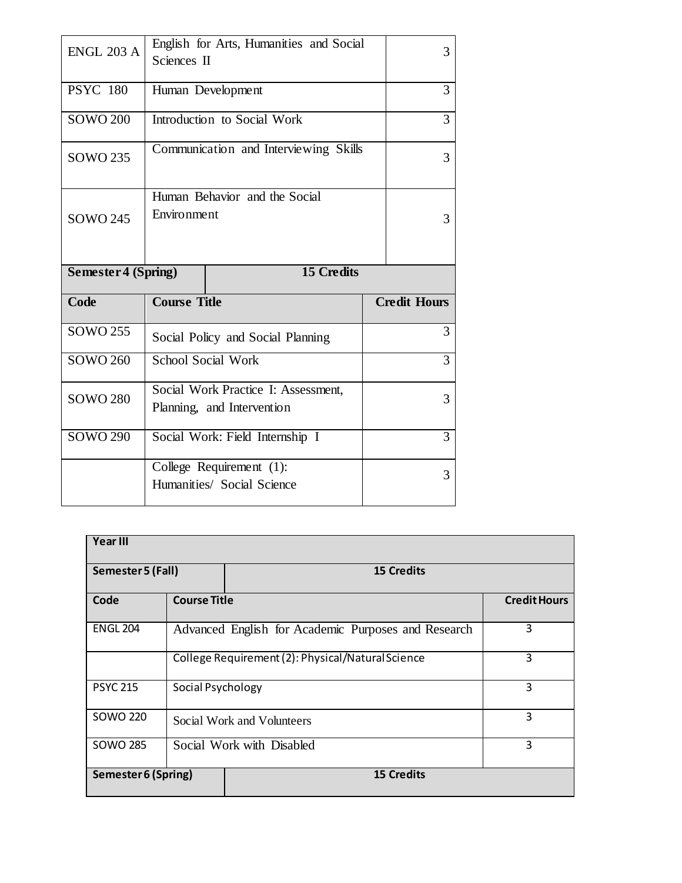| <b>ENGL 203 A</b>          | Sciences II                                  | English for Arts, Humanities and Social                           |   | 3                   |
|----------------------------|----------------------------------------------|-------------------------------------------------------------------|---|---------------------|
| <b>PSYC 180</b>            | Human Development                            |                                                                   | 3 |                     |
| <b>SOWO 200</b>            | Introduction to Social Work                  |                                                                   |   | 3                   |
| SOWO 235                   | Communication and Interviewing Skills        |                                                                   | 3 |                     |
| <b>SOWO 245</b>            | Human Behavior and the Social<br>Environment |                                                                   |   | 3                   |
|                            |                                              |                                                                   |   |                     |
| <b>Semester 4 (Spring)</b> |                                              | 15 Credits                                                        |   |                     |
| Code                       | <b>Course Title</b>                          |                                                                   |   | <b>Credit Hours</b> |
| <b>SOWO 255</b>            |                                              | Social Policy and Social Planning                                 |   | 3                   |
| SOWO 260                   |                                              | School Social Work                                                |   | 3                   |
| <b>SOWO 280</b>            |                                              | Social Work Practice I: Assessment,<br>Planning, and Intervention |   | 3                   |
| <b>SOWO 290</b>            |                                              | Social Work: Field Internship I                                   |   | 3                   |

| <b>Year III</b>     |                                                     |                     |   |
|---------------------|-----------------------------------------------------|---------------------|---|
| Semester 5 (Fall)   |                                                     | <b>15 Credits</b>   |   |
| Code                |                                                     | <b>Course Title</b> |   |
| <b>ENGL 204</b>     | Advanced English for Academic Purposes and Research |                     | 3 |
|                     | College Requirement (2): Physical/Natural Science   |                     | 3 |
| <b>PSYC 215</b>     | Social Psychology                                   |                     | 3 |
| SOWO 220            | Social Work and Volunteers                          |                     | 3 |
| SOWO 285            | 3<br>Social Work with Disabled                      |                     |   |
| Semester 6 (Spring) |                                                     | <b>15 Credits</b>   |   |